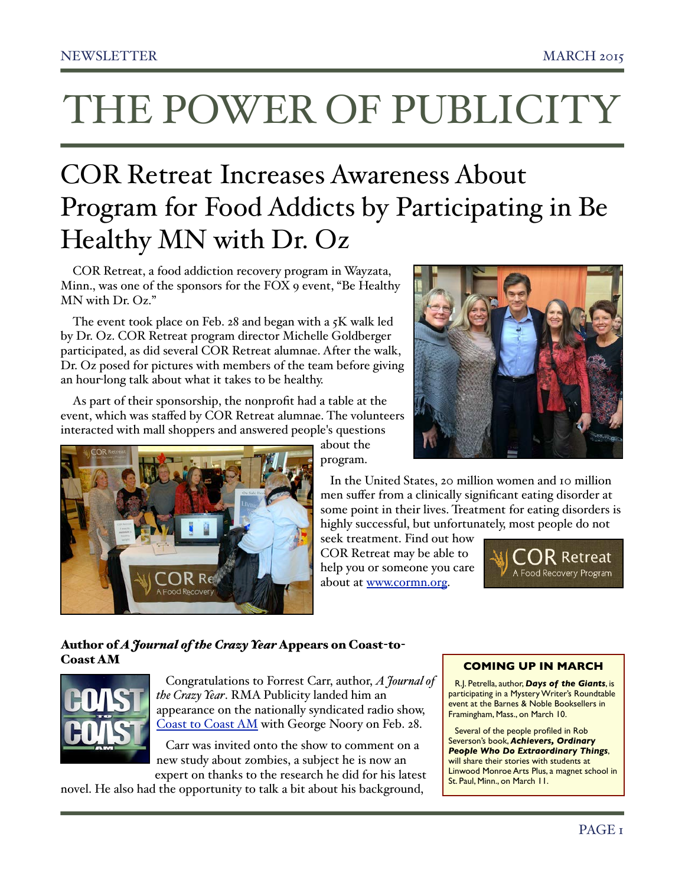# THE POWER OF PUBLICITY

## COR Retreat Increases Awareness About Program for Food Addicts by Participating in Be Healthy MN with Dr. Oz

COR Retreat, a food addiction recovery program in Wayzata, Minn., was one of the sponsors for the FOX 9 event, "Be Healthy MN with Dr. Oz."

The event took place on Feb. 28 and began with a  $5K$  walk led by Dr. Oz. COR Retreat program director Michelle Goldberger participated, as did several COR Retreat alumnae. After the walk, Dr. Oz posed for pictures with members of the team before giving an hour-long talk about what it takes to be healthy.

As part of their sponsorship, the nonprofit had a table at the event, which was staffed by COR Retreat alumnae. The volunteers interacted with mall shoppers and answered people's questions



about the program.

 In the United States, 20 million women and 10 million men suffer from a clinically significant eating disorder at some point in their lives. Treatment for eating disorders is highly successful, but unfortunately, most people do not

seek treatment. Find out how COR Retreat may be able to help you or someone you care about at [www.cormn.org.](http://www.cormn.org/)



### Author of *A Journal of the Crazy Year* Appears on Coast-to-Coast AM



 Congratulations to Forrest Carr, author, *A Journal of the Crazy Year*. RMA Publicity landed him an appearance on the nationally syndicated radio show, [Coast to Coast AM](http://www.rmapublicity.com/images/stories/Audio/A%20Journal%20of%20the%20Crazy%20Year%20-%20Coast%20to%20Coast%20AM%20Radio%20-%20February%2027,%202015.mp3) with George Noory on Feb. 28.

 Carr was invited onto the show to comment on a new study about zombies, a subject he is now an expert on thanks to the research he did for his latest

novel. He also had the opportunity to talk a bit about his background,

### **COMING UP IN MARCH**

R.J. Petrella, author, *Days of the Giants*, is participating in a Mystery Writer's Roundtable event at the Barnes & Noble Booksellers in Framingham, Mass., on March 10.

Several of the people profiled in Rob Severson's book, *Achievers, Ordinary People Who Do Extraordinary Things*, will share their stories with students at Linwood Monroe Arts Plus, a magnet school in St. Paul, Minn., on March 11.

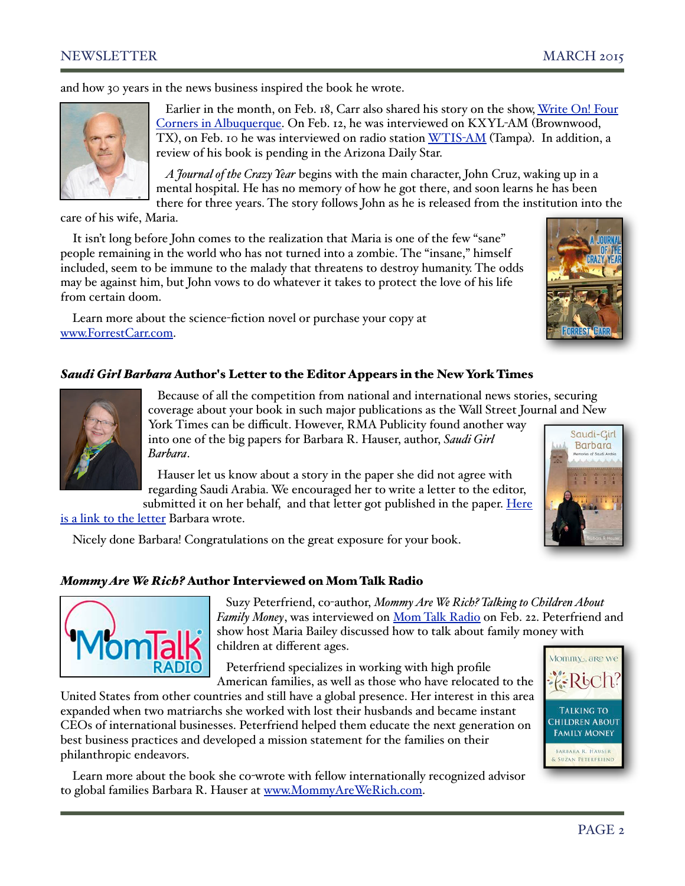### NEWSLETTER MARCH 2015

and how 30 years in the news business inspired the book he wrote.



 Earlier in the month, on Feb. 18, Carr also shared his story on the show, [Write On! Four](http://stream.publicbroadcasting.net/production/mp3/national/local-national-1038652.mp3)  [Corners in Albuquerque.](http://stream.publicbroadcasting.net/production/mp3/national/local-national-1038652.mp3) On Feb. 12, he was interviewed on KXYL-AM (Brownwood, TX), on Feb. 10 he was interviewed on radio station [WTIS](http://www.rmapublicity.com/images/stories/Audio/A%20Journal%20of%20the%20Crazy%20Year%20-%20WTIS%20Radio,%20Tampa%20-%20February%2010,%202015.mp3)-AM (Tampa). In addition, a review of his book is pending in the Arizona Daily Star.

 *A Journal of the Crazy Year* begins with the main character, John Cruz, waking up in a mental hospital. He has no memory of how he got there, and soon learns he has been there for three years. The story follows John as he is released from the institution into the

care of his wife, Maria.

It isn't long before John comes to the realization that Maria is one of the few "sane" people remaining in the world who has not turned into a zombie. The "insane," himself included, seem to be immune to the malady that threatens to destroy humanity. The odds may be against him, but John vows to do whatever it takes to protect the love of his life from certain doom.

Learn more about the science-fiction novel or purchase your copy at [www.ForrestCarr.com.](http://www.ForrestCarr.com)



### *Saudi Girl Barbara* Author's Letter to the Editor Appears in the New York Times



 Because of all the competition from national and international news stories, securing coverage about your book in such major publications as the Wall Street Journal and New

York Times can be difficult. However, RMA Publicity found another way into one of the big papers for Barbara R. Hauser, author, *Saudi Girl Barbara*.

 Hauser let us know about a story in the paper she did not agree with regarding Saudi Arabia. We encouraged her to write a letter to the editor, submitted it on her behalf, and that letter got published in the paper. Here



[is a link to the letter](http://www.nytimes.com/2015/02/16/opinion/women-in-saudi-arabia.html?_r=0) Barbara wrote.

Nicely done Barbara! Congratulations on the great exposure for your book.

### *Mommy Are We Rich?* Author Interviewed on Mom Talk Radio



 Suzy Peterfriend, co-author, *Mommy Are We Rich? Talking to Children About Family Money*, was interviewed on [Mom Talk Radio](http://www.rmapublicity.com/images/stories/Audio/Mommy%20are%20we%20Rich%20-%20Mom%20Talk%20Radio%20-%20February%2022,%202015.mp3) on Feb. 22. Peterfriend and show host Maria Bailey discussed how to talk about family money with children at different ages.

 Peterfriend specializes in working with high profile American families, as well as those who have relocated to the

United States from other countries and still have a global presence. Her interest in this area expanded when two matriarchs she worked with lost their husbands and became instant CEOs of international businesses. Peterfriend helped them educate the next generation on best business practices and developed a mission statement for the families on their philanthropic endeavors.

Learn more about the book she co-wrote with fellow internationally recognized advisor to global families Barbara R. Hauser at [www.MommyAreWeRich.com.](http://www.MommyAreWeRich.com)

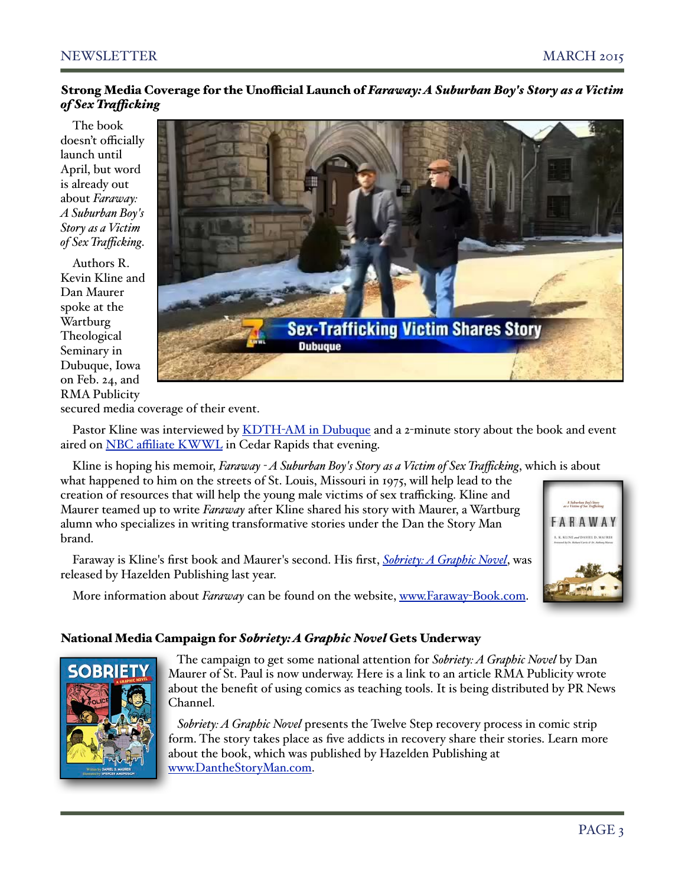### Strong Media Coverage for the Unofficial Launch of *Faraway: A Suburban Boy's Story as a Victim of Sex Trafcking*

The book doesn't officially launch until April, but word is already out about *Faraway: A Suburban Boy's Story as a Victim of Sex Trafficking*.

Authors R. Kevin Kline and Dan Maurer spoke at the Wartburg Theological Seminary in Dubuque, Iowa on Feb. 24, and RMA Publicity



secured media coverage of their event.

Pastor Kline was interviewed by **KDTH-AM** in Dubuque and a 2-minute story about the book and event aired on NBC affi[liate KWWL](https://www.youtube.com/watch?v=66S8ORx-WWg&list=UU6JzZuzFCOx-deoKBW6DKqA) in Cedar Rapids that evening.

Kline is hoping his memoir, *Faraway - A Suburban Boy's Story as a Victim of Sex Trafficking*, which is about

what happened to him on the streets of St. Louis, Missouri in 1975, will help lead to the creation of resources that will help the young male victims of sex trafficking. Kline and Maurer teamed up to write *Faraway* after Kline shared his story with Maurer, a Wartburg alumn who specializes in writing transformative stories under the Dan the Story Man brand.

Faraway is Kline's first book and Maurer's second. His first, *[Sobriety: A Graphic Novel](http://www.danthestoryman.com/purchase-here)*, was released by Hazelden Publishing last year.

More information about *Faraway* can be found on the website, [www.Faraway](http://www.Faraway-Book.com)-Book.com.

# .<br>A Suburban Boy's Story<br>a Victim of Sex Trafficking ARAWAY





 The campaign to get some national attention for *Sobriety: A Graphic Novel* by Dan Maurer of St. Paul is now underway. [Here is a link](http://www.prnewschannel.com/2015/02/16/helping-addicts-overcome-addiction-with-a-new-kind-of-teaching-tool/) to an article RMA Publicity wrote about the benefit of using comics as teaching tools. It is being distributed by PR News Channel.

 *Sobriety: A Graphic Novel* presents the Twelve Step recovery process in comic strip form. The story takes place as five addicts in recovery share their stories. Learn more about the book, which was published by Hazelden Publishing at [www.DantheStoryMan.com.](http://www.danthestoryman.com/purchase-here)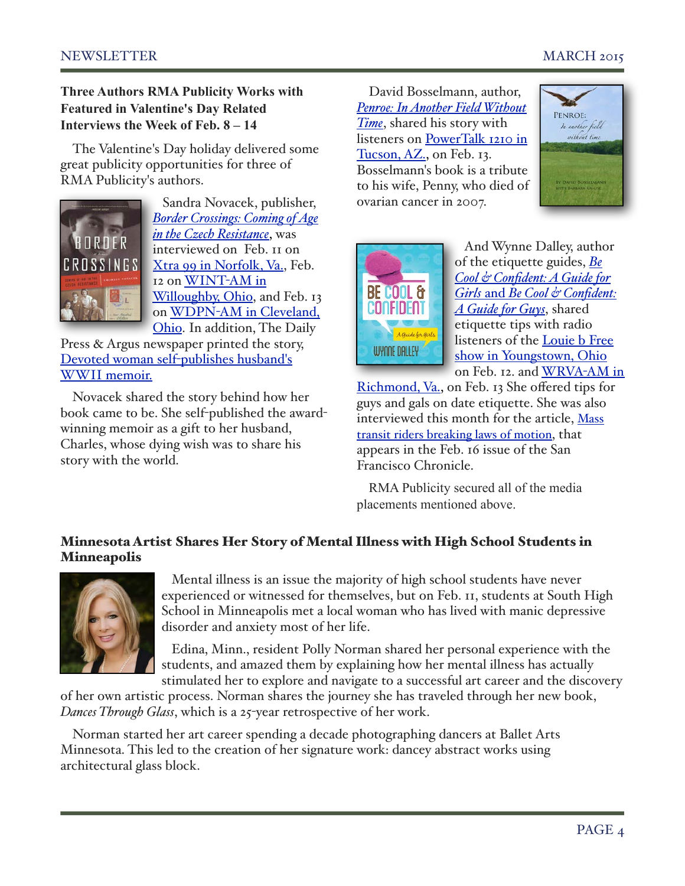**Three Authors RMA Publicity Works with Featured in Valentine's Day Related Interviews the Week of Feb. 8 – 14**

The Valentine's Day holiday delivered some great publicity opportunities for three of RMA Publicity's authors.



 Sandra Novacek, publisher, *[Border Crossings: Coming of Age](http://www.charlesnovacekbooks.com/)  [in the Czech Resistance](http://www.charlesnovacekbooks.com/)*, was interviewed on Feb. 11 on [Xtra 99 in Norfolk, Va.,](http://www.rmapublicity.com/images/stories/Audio/Border%20Crossing%20-%20WXGM%20Radio,%20Norfoolk%20-%20February%2011,%202015.mp3) Feb. 12 on [WINT](http://www.rmapublicity.com/images/stories/Audio/Border%20Crossings%20-%20WINT%20Radio%20Willoughby,%20OH%20-%20February%2012,%202015.mp3)-AM in [Willoughby, Ohio,](http://www.rmapublicity.com/images/stories/Audio/Border%20Crossings%20-%20WINT%20Radio%20Willoughby,%20OH%20-%20February%2012,%202015.mp3) and Feb. 13 on WDPN-[AM in Cleveland,](http://www.rmapublicity.com/images/stories/Audio/Border%20Crossings%20-%20WDPN%20Radio,%20Cleveland%20-%20February%2013,%202015.mp3)  [Ohio.](http://www.rmapublicity.com/images/stories/Audio/Border%20Crossings%20-%20WDPN%20Radio,%20Cleveland%20-%20February%2013,%202015.mp3) In addition, The Daily

Press & Argus newspaper printed the story, [Devoted woman self](http://www.livingstondaily.com/story/news/local/community/hartland/2015/02/14/devoted-woman-self-publishes-husbands-wwii-memoir/23406769/)-publishes husband's [WWII memoir.](http://www.livingstondaily.com/story/news/local/community/hartland/2015/02/14/devoted-woman-self-publishes-husbands-wwii-memoir/23406769/)

Novacek shared the story behind how her book came to be. She self-published the awardwinning memoir as a gift to her husband, Charles, whose dying wish was to share his story with the world.

David Bosselmann, author, *[Penroe: In Another Field Without](http://www.penroe.net/)  [Time](http://www.penroe.net/)*, shared his story with listeners on PowerTalk 1210 in [Tucson, AZ.,](http://www.rmapublicity.com/images/stories/Audio/Penroe%20-%20Power%20Talk%20Radio,%20Tucson%20-%20February%2013,%202015.mp3) on Feb. 13. Bosselmann's book is a tribute to his wife, Penny, who died of ovarian cancer in 2007.





 And Wynne Dalley, author of the etiquette guides, *[Be](http://www.tellmepress.com/)  [Cool & Confident: A Guide for](http://www.tellmepress.com/)  Girls* and *[Be Cool & Confident:](http://www.tellmepress.com/)  [A Guide for Guys](http://www.tellmepress.com/)*, shared etiquette tips with radio listeners of the [Louie b Free](http://www.rmapublicity.com/images/stories/Audio/Be%20Cool%20and%20Confident%20-%20Louis%20B%20Free%20Show%20Youngstown,%20OH%20-%20February%2012,%202015.mp3)  [show in Youngstown, Ohio](http://www.rmapublicity.com/images/stories/Audio/Be%20Cool%20and%20Confident%20-%20Louis%20B%20Free%20Show%20Youngstown,%20OH%20-%20February%2012,%202015.mp3)  on Feb. 12. and [WRVA](http://www.rmapublicity.com/images/stories/Audio/Be%20Cool%20and%20Confident%20-%20WRVA%20Radio,%20Richmond%20-%20February%2013,%202015.mp3)-AM in

[Richmond, Va.,](http://www.rmapublicity.com/images/stories/Audio/Be%20Cool%20and%20Confident%20-%20WRVA%20Radio,%20Richmond%20-%20February%2013,%202015.mp3) on Feb. 13 She offered tips for guys and gals on date etiquette. She was also interviewed this month for the article, [Mass](http://www.sfchronicle.com/bayarea/article/Mass-transit-riders-breaking-laws-of-motion-6084236.php%23/0)  [transit riders breaking laws of motion,](http://www.sfchronicle.com/bayarea/article/Mass-transit-riders-breaking-laws-of-motion-6084236.php%23/0) that appears in the Feb. 16 issue of the San Francisco Chronicle.

RMA Publicity secured all of the media placements mentioned above.

### Minnesota Artist Shares Her Story of Mental Illness with High School Students in Minneapolis



 Mental illness is an issue the majority of high school students have never experienced or witnessed for themselves, but on Feb. 11, students at South High School in Minneapolis met a local woman who has lived with manic depressive disorder and anxiety most of her life.

 Edina, Minn., resident Polly Norman shared her personal experience with the students, and amazed them by explaining how her mental illness has actually stimulated her to explore and navigate to a successful art career and the discovery

of her own artistic process. Norman shares the journey she has traveled through her new book, *Dances Through Glass*, which is a 25-year retrospective of her work.

Norman started her art career spending a decade photographing dancers at Ballet Arts Minnesota. This led to the creation of her signature work: dancey abstract works using architectural glass block.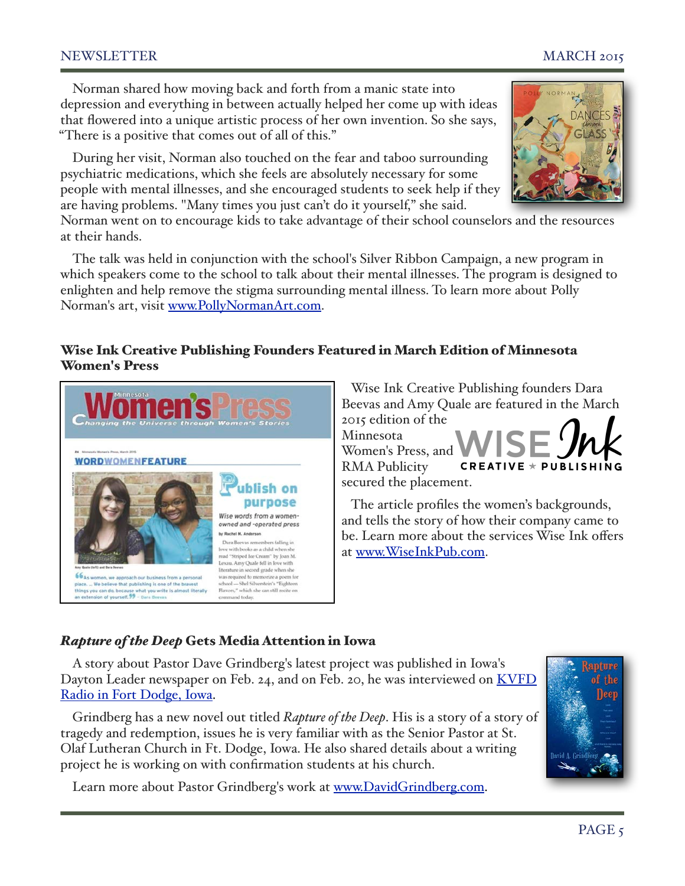### NEWSLETTER MARCH 2015

Norman shared how moving back and forth from a manic state into depression and everything in between actually helped her come up with ideas that flowered into a unique artistic process of her own invention. So she says, "There is a positive that comes out of all of this."

During her visit, Norman also touched on the fear and taboo surrounding psychiatric medications, which she feels are absolutely necessary for some people with mental illnesses, and she encouraged students to seek help if they are having problems. "Many times you just can't do it yourself," she said.

Norman went on to encourage kids to take advantage of their school counselors and the resources at their hands.

The talk was held in conjunction with the school's Silver Ribbon Campaign, a new program in which speakers come to the school to talk about their mental illnesses. The program is designed to enlighten and help remove the stigma surrounding mental illness. To learn more about Polly Norman's art, visit [www.PollyNormanArt.com.](http://www.PollyNormanArt.com)

### Wise Ink Creative Publishing Founders Featured in March Edition of Minnesota Women's Press





 The article profiles the women's backgrounds, and tells the story of how their company came to be. Learn more about the services Wise Ink offers at [www.WiseInkPub.com.](http://www.WiseInkPub.com)

secured the placement.

### *Rapture of the Deep* Gets Media Attention in Iowa

A story about Pastor Dave Grindberg's latest project was published in Iowa's Dayton Leader newspaper on Feb. 24, and on Feb. 20, he was interviewed on KVFD [Radio in Fort Dodge, Iowa.](http://www.rmapublicity.com/images/stories/Audio/Rapture%20of%20the%20Deep%20-%20KVFD%20Radio,%20Fort%20Dodge%20-%20February%2020,%202015%201.mp3)

Grindberg has a new novel out titled *Rapture of the Deep*. His is a story of a story of tragedy and redemption, issues he is very familiar with as the Senior Pastor at St. Olaf Lutheran Church in Ft. Dodge, Iowa. He also shared details about a writing project he is working on with confirmation students at his church.

Learn more about Pastor Grindberg's work at [www.DavidGrindberg.com.](http://www.DavidGrindberg.com)



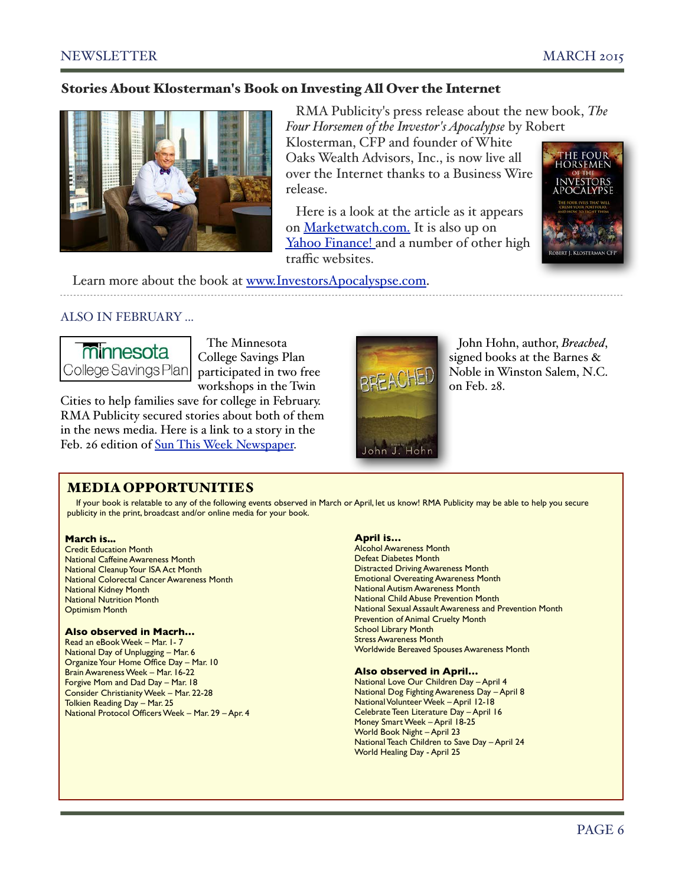### Stories About Klosterman's Book on Investing All Over the Internet



 RMA Publicity's press release about the new book, *The Four Horsemen of the Investor's Apocalypse* by Robert

Klosterman, CFP and founder of White Oaks Wealth Advisors, Inc., is now live all over the Internet thanks to a Business Wire release.

 Here is a look at the article as it ap[pe](http://finance.yahoo.com/news/financial-planners-book-removes-mystery-120000127.html)ars on [Marketwatch.com.](http://www.marketwatch.com/story/financial-planners-new-book-removes-the-mystery-behind-how-the-financial-markets-work-2015-01-27) It is also up o[n](http://finance.yahoo.com/news/financial-planners-book-removes-mystery-120000127.html) [Yahoo Finance! a](http://finance.yahoo.com/news/financial-planners-book-removes-mystery-120000127.html)nd a number of other high traffic websites.



Learn more about the book at [www.InvestorsApocalyspse.com.](http://www.InvestorsApocalyspse.com)

### ALSO IN FEBRUARY ...



 The Minnesota College Savings Plan participated in two free workshops in the Twin

Cities to help families save for college in February. RMA Publicity secured stories about both of them in the news media. Here is a link to a story in the Feb. 26 edition of [Sun This Week Newspaper.](http://sunthisweek.com/2015/02/18/saving-for-college-event-slated-at-rasmussen-colleges-eagan-campus/)



 John Hohn, author, *Breached*, signed books at the Barnes & Noble in Winston Salem, N.C. on Feb. 28.

### MEDIA OPPORTUNITIES

If your book is relatable to any of the following events observed in March or April, let us know! RMA Publicity may be able to help you secure publicity in the print, broadcast and/or online media for your book.

### **March is...**

Credit Education Month National Caffeine Awareness Month National Cleanup Your ISA Act Month National Colorectal Cancer Awareness Month National Kidney Month National Nutrition Month Optimism Month

### **Also observed in Macrh…**

Read an eBook Week – Mar. 1- 7 National Day of Unplugging – Mar. 6 Organize Your Home Office Day – Mar. 10 Brain Awareness Week – Mar. 16-22 Forgive Mom and Dad Day – Mar. 18 Consider Christianity Week – Mar. 22-28 Tolkien Reading Day – Mar. 25 National Protocol Officers Week – Mar. 29 – Apr. 4

### **April is…**

Alcohol Awareness Month Defeat Diabetes Month Distracted Driving Awareness Month Emotional Overeating Awareness Month National Autism Awareness Month National Child Abuse Prevention Month National Sexual Assault Awareness and Prevention Month Prevention of Animal Cruelty Month School Library Month Stress Awareness Month Worldwide Bereaved Spouses Awareness Month

### **Also observed in April…**

National Love Our Children Day – April 4 National Dog Fighting Awareness Day – April 8 National Volunteer Week – April 12-18 Celebrate Teen Literature Day – April 16 Money Smart Week – April 18-25 World Book Night – April 23 National Teach Children to Save Day – April 24 World Healing Day - April 25